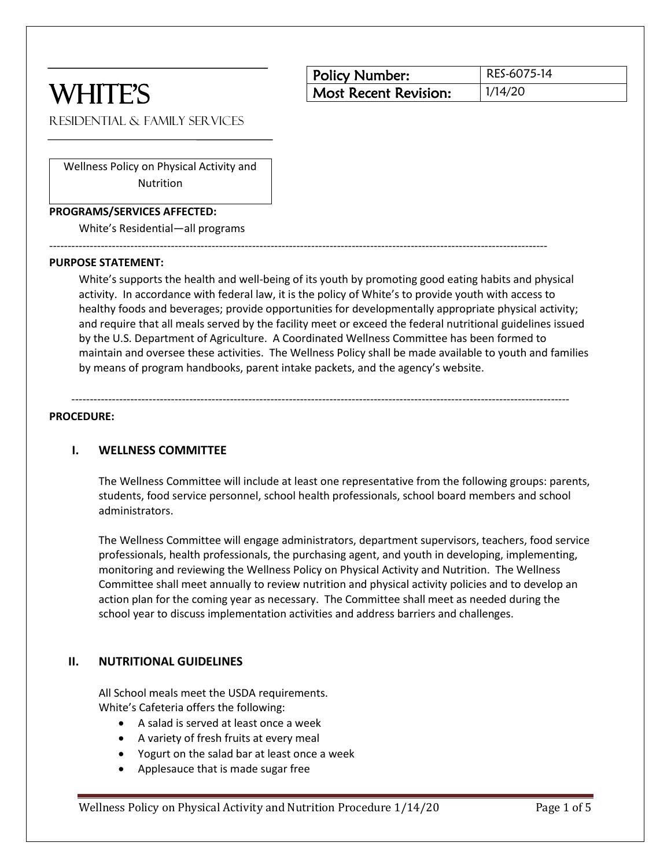# WHITE'S

| <b>Policy Number:</b> | RES-6075-14 |
|-----------------------|-------------|
| Most Recent Revision: | 1/14/20     |

Residential & Family Services

Wellness Policy on Physical Activity and Nutrition

#### **PROGRAMS/SERVICES AFFECTED:**

White's Residential—all programs

#### **PURPOSE STATEMENT:**

White's supports the health and well-being of its youth by promoting good eating habits and physical activity. In accordance with federal law, it is the policy of White's to provide youth with access to healthy foods and beverages; provide opportunities for developmentally appropriate physical activity; and require that all meals served by the facility meet or exceed the federal nutritional guidelines issued by the U.S. Department of Agriculture. A Coordinated Wellness Committee has been formed to maintain and oversee these activities. The Wellness Policy shall be made available to youth and families by means of program handbooks, parent intake packets, and the agency's website.

---------------------------------------------------------------------------------------------------------------------------------------

---------------------------------------------------------------------------------------------------------------------------------------

#### **PROCEDURE:**

#### **I. WELLNESS COMMITTEE**

The Wellness Committee will include at least one representative from the following groups: parents, students, food service personnel, school health professionals, school board members and school administrators.

The Wellness Committee will engage administrators, department supervisors, teachers, food service professionals, health professionals, the purchasing agent, and youth in developing, implementing, monitoring and reviewing the Wellness Policy on Physical Activity and Nutrition. The Wellness Committee shall meet annually to review nutrition and physical activity policies and to develop an action plan for the coming year as necessary. The Committee shall meet as needed during the school year to discuss implementation activities and address barriers and challenges.

#### **II. NUTRITIONAL GUIDELINES**

All School meals meet the USDA requirements. White's Cafeteria offers the following:

- A salad is served at least once a week
- A variety of fresh fruits at every meal
- Yogurt on the salad bar at least once a week
- Applesauce that is made sugar free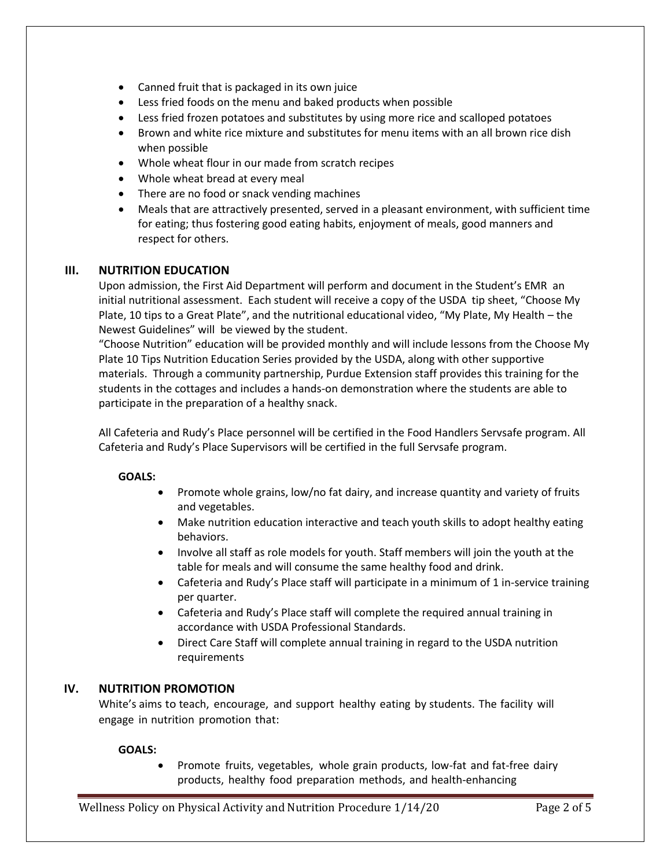- Canned fruit that is packaged in its own juice
- Less fried foods on the menu and baked products when possible
- Less fried frozen potatoes and substitutes by using more rice and scalloped potatoes
- Brown and white rice mixture and substitutes for menu items with an all brown rice dish when possible
- Whole wheat flour in our made from scratch recipes
- Whole wheat bread at every meal
- There are no food or snack vending machines
- Meals that are attractively presented, served in a pleasant environment, with sufficient time for eating; thus fostering good eating habits, enjoyment of meals, good manners and respect for others.

## **III. NUTRITION EDUCATION**

Upon admission, the First Aid Department will perform and document in the Student's EMR an initial nutritional assessment. Each student will receive a copy of the USDA tip sheet, "Choose My Plate, 10 tips to a Great Plate", and the nutritional educational video, "My Plate, My Health – the Newest Guidelines" will be viewed by the student.

"Choose Nutrition" education will be provided monthly and will include lessons from the Choose My Plate 10 Tips Nutrition Education Series provided by the USDA, along with other supportive materials. Through a community partnership, Purdue Extension staff provides this training for the students in the cottages and includes a hands-on demonstration where the students are able to participate in the preparation of a healthy snack.

All Cafeteria and Rudy's Place personnel will be certified in the Food Handlers Servsafe program. All Cafeteria and Rudy's Place Supervisors will be certified in the full Servsafe program.

## **GOALS:**

- Promote whole grains, low/no fat dairy, and increase quantity and variety of fruits and vegetables.
- Make nutrition education interactive and teach youth skills to adopt healthy eating behaviors.
- Involve all staff as role models for youth. Staff members will join the youth at the table for meals and will consume the same healthy food and drink.
- Cafeteria and Rudy's Place staff will participate in a minimum of 1 in-service training per quarter.
- Cafeteria and Rudy's Place staff will complete the required annual training in accordance with USDA Professional Standards.
- Direct Care Staff will complete annual training in regard to the USDA nutrition requirements

## **IV. NUTRITION PROMOTION**

White's aims to teach, encourage, and support healthy eating by students. The facility will engage in nutrition promotion that:

## **GOALS:**

• Promote fruits, vegetables, whole grain products, low-fat and fat-free dairy products, healthy food preparation methods, and health-enhancing

Wellness Policy on Physical Activity and Nutrition Procedure 1/14/20 Page 2 of 5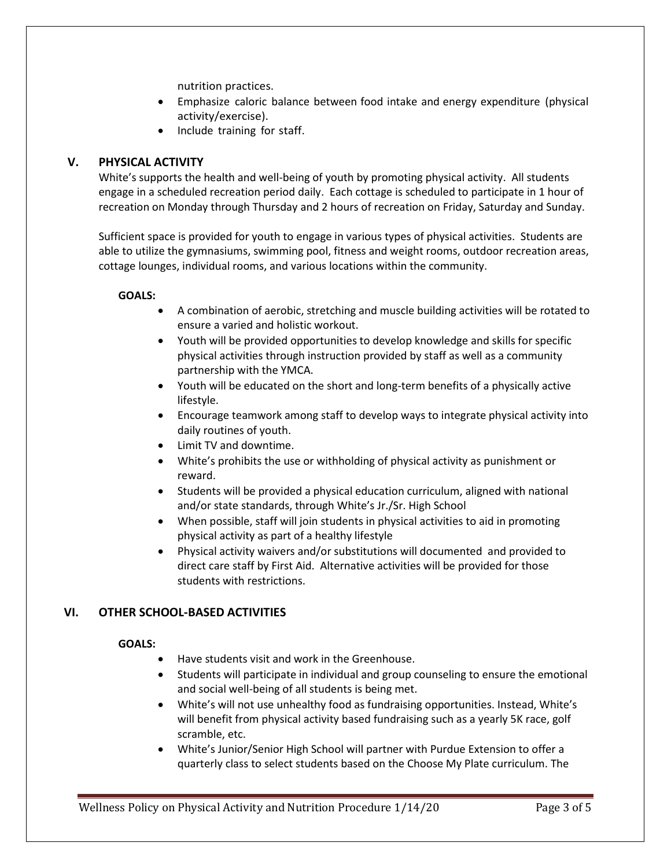nutrition practices.

- Emphasize caloric balance between food intake and energy expenditure (physical activity/exercise).
- Include training for staff.

# **V. PHYSICAL ACTIVITY**

White's supports the health and well-being of youth by promoting physical activity. All students engage in a scheduled recreation period daily. Each cottage is scheduled to participate in 1 hour of recreation on Monday through Thursday and 2 hours of recreation on Friday, Saturday and Sunday.

Sufficient space is provided for youth to engage in various types of physical activities. Students are able to utilize the gymnasiums, swimming pool, fitness and weight rooms, outdoor recreation areas, cottage lounges, individual rooms, and various locations within the community.

## **GOALS:**

- A combination of aerobic, stretching and muscle building activities will be rotated to ensure a varied and holistic workout.
- Youth will be provided opportunities to develop knowledge and skills for specific physical activities through instruction provided by staff as well as a community partnership with the YMCA.
- Youth will be educated on the short and long-term benefits of a physically active lifestyle.
- Encourage teamwork among staff to develop ways to integrate physical activity into daily routines of youth.
- Limit TV and downtime.
- White's prohibits the use or withholding of physical activity as punishment or reward.
- Students will be provided a physical education curriculum, aligned with national and/or state standards, through White's Jr./Sr. High School
- When possible, staff will join students in physical activities to aid in promoting physical activity as part of a healthy lifestyle
- Physical activity waivers and/or substitutions will documented and provided to direct care staff by First Aid. Alternative activities will be provided for those students with restrictions.

# **VI. OTHER SCHOOL-BASED ACTIVITIES**

## **GOALS:**

- Have students visit and work in the Greenhouse.
- Students will participate in individual and group counseling to ensure the emotional and social well-being of all students is being met.
- White's will not use unhealthy food as fundraising opportunities. Instead, White's will benefit from physical activity based fundraising such as a yearly 5K race, golf scramble, etc.
- White's Junior/Senior High School will partner with Purdue Extension to offer a quarterly class to select students based on the Choose My Plate curriculum. The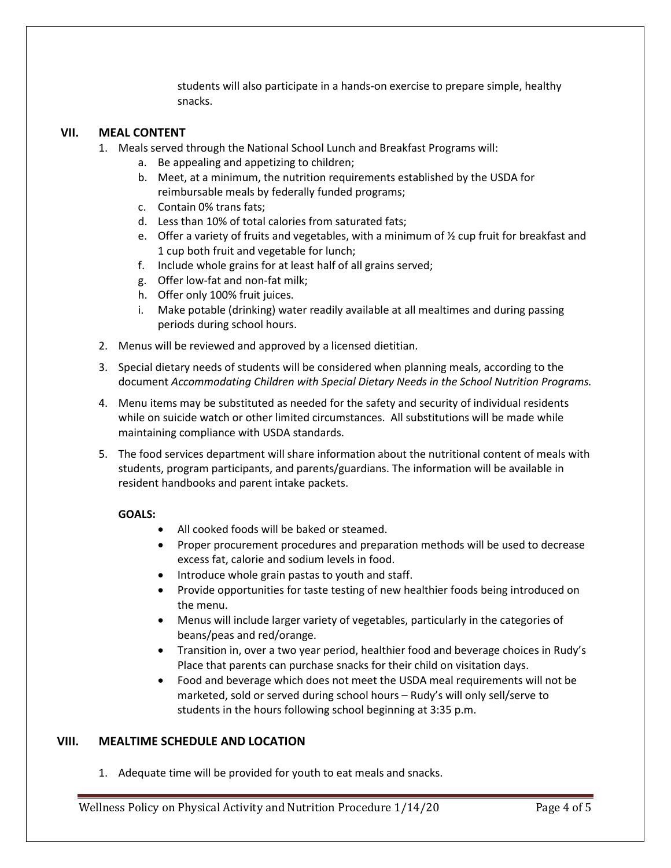students will also participate in a hands-on exercise to prepare simple, healthy snacks.

#### **VII. MEAL CONTENT**

- 1. Meals served through the National School Lunch and Breakfast Programs will:
	- a. Be appealing and appetizing to children;
	- b. Meet, at a minimum, the nutrition requirements established by the USDA for reimbursable meals by federally funded programs;
	- c. Contain 0% trans fats;
	- d. Less than 10% of total calories from saturated fats;
	- e. Offer a variety of fruits and vegetables, with a minimum of  $\frac{1}{2}$  cup fruit for breakfast and 1 cup both fruit and vegetable for lunch;
	- f. Include whole grains for at least half of all grains served;
	- g. Offer low-fat and non-fat milk;
	- h. Offer only 100% fruit juices.
	- i. Make potable (drinking) water readily available at all mealtimes and during passing periods during school hours.
- 2. Menus will be reviewed and approved by a licensed dietitian.
- 3. Special dietary needs of students will be considered when planning meals, according to the document *Accommodating Children with Special Dietary Needs in the School Nutrition Programs.*
- 4. Menu items may be substituted as needed for the safety and security of individual residents while on suicide watch or other limited circumstances. All substitutions will be made while maintaining compliance with USDA standards.
- 5. The food services department will share information about the nutritional content of meals with students, program participants, and parents/guardians. The information will be available in resident handbooks and parent intake packets.

#### **GOALS:**

- All cooked foods will be baked or steamed.
- Proper procurement procedures and preparation methods will be used to decrease excess fat, calorie and sodium levels in food.
- Introduce whole grain pastas to youth and staff.
- Provide opportunities for taste testing of new healthier foods being introduced on the menu.
- Menus will include larger variety of vegetables, particularly in the categories of beans/peas and red/orange.
- Transition in, over a two year period, healthier food and beverage choices in Rudy's Place that parents can purchase snacks for their child on visitation days.
- Food and beverage which does not meet the USDA meal requirements will not be marketed, sold or served during school hours – Rudy's will only sell/serve to students in the hours following school beginning at 3:35 p.m.

## **VIII. MEALTIME SCHEDULE AND LOCATION**

1. Adequate time will be provided for youth to eat meals and snacks.

Wellness Policy on Physical Activity and Nutrition Procedure 1/14/20 Page 4 of 5